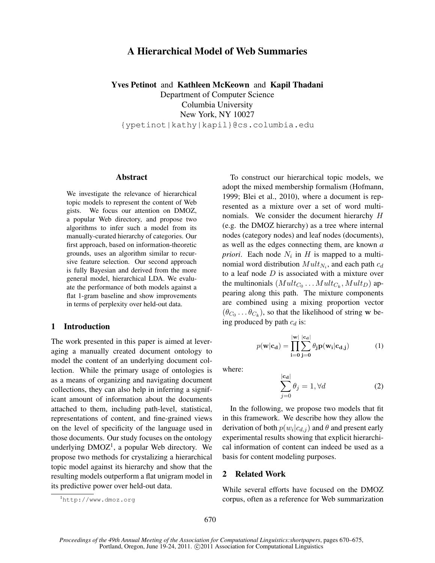# A Hierarchical Model of Web Summaries

Yves Petinot and Kathleen McKeown and Kapil Thadani

Department of Computer Science Columbia University New York, NY 10027 {ypetinot|kathy|kapil}@cs.columbia.edu

## Abstract

We investigate the relevance of hierarchical topic models to represent the content of Web gists. We focus our attention on DMOZ, a popular Web directory, and propose two algorithms to infer such a model from its manually-curated hierarchy of categories. Our first approach, based on information-theoretic grounds, uses an algorithm similar to recursive feature selection. Our second approach is fully Bayesian and derived from the more general model, hierarchical LDA. We evaluate the performance of both models against a flat 1-gram baseline and show improvements in terms of perplexity over held-out data.

### 1 Introduction

The work presented in this paper is aimed at leveraging a manually created document ontology to model the content of an underlying document collection. While the primary usage of ontologies is as a means of organizing and navigating document collections, they can also help in inferring a significant amount of information about the documents attached to them, including path-level, statistical, representations of content, and fine-grained views on the level of specificity of the language used in those documents. Our study focuses on the ontology underlying  $DMOZ<sup>1</sup>$ , a popular Web directory. We propose two methods for crystalizing a hierarchical topic model against its hierarchy and show that the resulting models outperform a flat unigram model in its predictive power over held-out data.

To construct our hierarchical topic models, we adopt the mixed membership formalism (Hofmann, 1999; Blei et al., 2010), where a document is represented as a mixture over a set of word multinomials. We consider the document hierarchy H (e.g. the DMOZ hierarchy) as a tree where internal nodes (category nodes) and leaf nodes (documents), as well as the edges connecting them, are known *a priori*. Each node  $N_i$  in  $H$  is mapped to a multinomial word distribution  $Mult_{N_i}$ , and each path  $c_d$ to a leaf node  $D$  is associated with a mixture over the multinonials  $(Mult_{C_0} \ldots Mult_{C_k}, Mult_D)$  appearing along this path. The mixture components are combined using a mixing proportion vector  $(\theta_{C_0} \dots \theta_{C_k})$ , so that the likelihood of string w being produced by path  $c_d$  is:

$$
p(\mathbf{w}|\mathbf{c}_{\mathbf{d}}) = \prod_{i=0}^{|\mathbf{w}|} \sum_{j=0}^{|\mathbf{c}_{\mathbf{d}}|} \theta_{j} p(\mathbf{w}_{i}|\mathbf{c}_{\mathbf{d},j})
$$
(1)

where:

$$
\sum_{j=0}^{|\mathbf{c_d}|} \theta_j = 1, \forall d \tag{2}
$$

In the following, we propose two models that fit in this framework. We describe how they allow the derivation of both  $p(w_i|c_{d,j})$  and  $\theta$  and present early experimental results showing that explicit hierarchical information of content can indeed be used as a basis for content modeling purposes.

## 2 Related Work

While several efforts have focused on the DMOZ corpus, often as a reference for Web summarization

<sup>1</sup>http://www.dmoz.org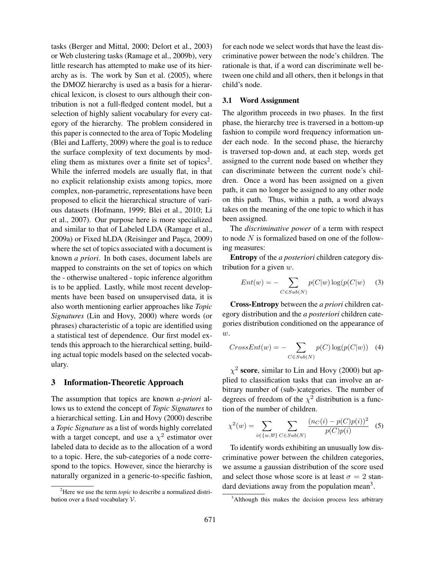tasks (Berger and Mittal, 2000; Delort et al., 2003) or Web clustering tasks (Ramage et al., 2009b), very little research has attempted to make use of its hierarchy as is. The work by Sun et al. (2005), where the DMOZ hierarchy is used as a basis for a hierarchical lexicon, is closest to ours although their contribution is not a full-fledged content model, but a selection of highly salient vocabulary for every category of the hierarchy. The problem considered in this paper is connected to the area of Topic Modeling (Blei and Lafferty, 2009) where the goal is to reduce the surface complexity of text documents by modeling them as mixtures over a finite set of topics<sup>2</sup>. While the inferred models are usually flat, in that no explicit relationship exists among topics, more complex, non-parametric, representations have been proposed to elicit the hierarchical structure of various datasets (Hofmann, 1999; Blei et al., 2010; Li et al., 2007). Our purpose here is more specialized and similar to that of Labeled LDA (Ramage et al., 2009a) or Fixed hLDA (Reisinger and Pasca, 2009) where the set of topics associated with a document is known *a priori*. In both cases, document labels are mapped to constraints on the set of topics on which the - otherwise unaltered - topic inference algorithm is to be applied. Lastly, while most recent developments have been based on unsupervised data, it is also worth mentioning earlier approaches like *Topic Signatures* (Lin and Hovy, 2000) where words (or phrases) characteristic of a topic are identified using a statistical test of dependence. Our first model extends this approach to the hierarchical setting, building actual topic models based on the selected vocabulary.

## 3 Information-Theoretic Approach

The assumption that topics are known *a-priori* allows us to extend the concept of *Topic Signatures* to a hierarchical setting. Lin and Hovy (2000) describe a *Topic Signature* as a list of words highly correlated with a target concept, and use a  $\chi^2$  estimator over labeled data to decide as to the allocation of a word to a topic. Here, the sub-categories of a node correspond to the topics. However, since the hierarchy is naturally organized in a generic-to-specific fashion, for each node we select words that have the least discriminative power between the node's children. The rationale is that, if a word can discriminate well between one child and all others, then it belongs in that child's node.

#### 3.1 Word Assignment

The algorithm proceeds in two phases. In the first phase, the hierarchy tree is traversed in a bottom-up fashion to compile word frequency information under each node. In the second phase, the hierarchy is traversed top-down and, at each step, words get assigned to the current node based on whether they can discriminate between the current node's children. Once a word has been assigned on a given path, it can no longer be assigned to any other node on this path. Thus, within a path, a word always takes on the meaning of the one topic to which it has been assigned.

The *discriminative power* of a term with respect to node N is formalized based on one of the following measures:

Entropy of the *a posteriori* children category distribution for a given  $w$ .

$$
Ent(w) = -\sum_{C \in Sub(N)} p(C|w) \log(p(C|w) \quad (3)
$$

Cross-Entropy between the *a priori* children category distribution and the *a posteriori* children categories distribution conditioned on the appearance of  $w$ .

$$
CrossEnt(w) = -\sum_{C \in Sub(N)} p(C) \log(p(C|w)) \quad (4)
$$

 $\chi^2$  score, similar to Lin and Hovy (2000) but applied to classification tasks that can involve an arbitrary number of (sub-)categories. The number of degrees of freedom of the  $\chi^2$  distribution is a function of the number of children.

$$
\chi^{2}(w) = \sum_{i \in \{w, \overline{w}\}} \sum_{C \in Sub(N)} \frac{(n_{C}(i) - p(C)p(i))^{2}}{p(C)p(i)} \quad (5)
$$

To identify words exhibiting an unusually low discriminative power between the children categories, we assume a gaussian distribution of the score used and select those whose score is at least  $\sigma = 2$  standard deviations away from the population mean<sup>3</sup>.

<sup>2</sup>Here we use the term *topic* to describe a normalized distribution over a fixed vocabulary V.

<sup>&</sup>lt;sup>3</sup>Although this makes the decision process less arbitrary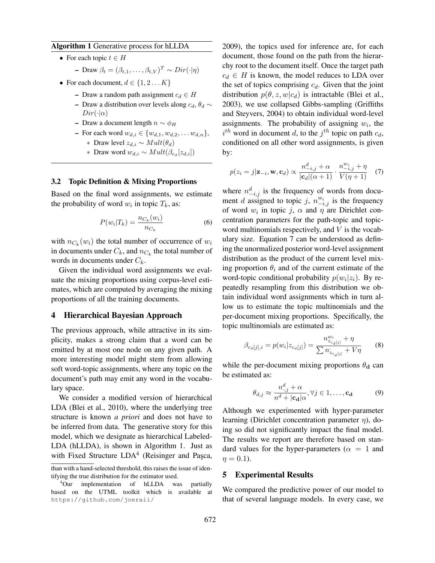#### Algorithm 1 Generative process for hLLDA

- For each topic  $t \in H$ 
	- $\blacksquare$  Draw  $\beta_t = (\beta_{t,1}, \ldots, \beta_{t,V})^T \sim Dir(\cdot | \eta)$
- For each document,  $d \in \{1, 2...K\}$ 
	- Draw a random path assignment  $c_d \in H$
	- Draw a distribution over levels along  $c_d$ ,  $\theta_d \sim$  $Dir(\cdot|\alpha)$
	- Draw a document length  $n \sim \phi_H$
	- For each word  $w_{d,i}$  ∈ { $w_{d,1}, w_{d,2}, \ldots w_{d,n}$ },
		- ∗ Draw level  $z_{d,i}$  ∼  $Mult(\theta_d)$
		- ∗ Draw word  $w_{d,i} \sim Mult(\beta_{c_d}[z_{d,i}])$

#### 3.2 Topic Definition & Mixing Proportions

Based on the final word assignments, we estimate the probability of word  $w_i$  in topic  $T_k$ , as:

$$
P(w_i|T_k) = \frac{n_{C_k}(w_i)}{n_{C_k}}\tag{6}
$$

with  $n_{C_k}(w_i)$  the total number of occurrence of  $w_i$ in documents under  $C_k$ , and  $n_{C_k}$  the total number of words in documents under  $C_k$ .

Given the individual word assignments we evaluate the mixing proportions using corpus-level estimates, which are computed by averaging the mixing proportions of all the training documents.

## 4 Hierarchical Bayesian Approach

The previous approach, while attractive in its simplicity, makes a strong claim that a word can be emitted by at most one node on any given path. A more interesting model might stem from allowing soft word-topic assignments, where any topic on the document's path may emit any word in the vocabulary space.

We consider a modified version of hierarchical LDA (Blei et al., 2010), where the underlying tree structure is known *a priori* and does not have to be inferred from data. The generative story for this model, which we designate as hierarchical Labeled-LDA (hLLDA), is shown in Algorithm 1. Just as with Fixed Structure LDA<sup>4</sup> (Reisinger and Paşca,

2009), the topics used for inference are, for each document, those found on the path from the hierarchy root to the document itself. Once the target path  $c_d \in H$  is known, the model reduces to LDA over the set of topics comprising  $c_d$ . Given that the joint distribution  $p(\theta, z, w|c_d)$  is intractable (Blei et al., 2003), we use collapsed Gibbs-sampling (Griffiths and Steyvers, 2004) to obtain individual word-level assignments. The probability of assigning  $w_i$ , the  $i^{th}$  word in document d, to the  $j^{th}$  topic on path  $c_d$ , conditioned on all other word assignments, is given by:

$$
p(z_i = j | \mathbf{z}_{-i}, \mathbf{w}, \mathbf{c}_d) \propto \frac{n_{-i,j}^d + \alpha}{|\mathbf{c}_d|(\alpha+1)} \cdot \frac{n_{-i,j}^{w_i} + \eta}{V(\eta+1)}
$$
(7)

where  $n_{-i,j}^d$  is the frequency of words from document d assigned to topic j,  $n_{-i,j}^{w_i}$  is the frequency of word  $w_i$  in topic j,  $\alpha$  and  $\eta$  are Dirichlet concentration parameters for the path-topic and topicword multinomials respectively, and  $V$  is the vocabulary size. Equation 7 can be understood as defining the unormalized posterior word-level assignment distribution as the product of the current level mixing proportion  $\theta_i$  and of the current estimate of the word-topic conditional probability  $p(w_i|z_i)$ . By repeatedly resampling from this distribution we obtain individual word assignments which in turn allow us to estimate the topic multinomials and the per-document mixing proportions. Specifically, the topic multinomials are estimated as:

$$
\beta_{c_d[j],i} = p(w_i|z_{c_d[j]}) = \frac{n_{z_{c_d[j]}}^{w_i} + \eta}{\sum n_{z_{c_d[j]}} + V\eta}
$$
(8)

while the per-document mixing proportions  $\theta_d$  can be estimated as:

$$
\theta_{d,j} \approx \frac{n_{\cdot,j}^d + \alpha}{n^d + |\mathbf{c_d}| \alpha}, \forall j \in 1, \dots, \mathbf{c_d} \tag{9}
$$

Although we experimented with hyper-parameter learning (Dirichlet concentration parameter  $\eta$ ), doing so did not significantly impact the final model. The results we report are therefore based on standard values for the hyper-parameters ( $\alpha = 1$  and  $\eta = 0.1$ ).

## 5 Experimental Results

We compared the predictive power of our model to that of several language models. In every case, we

than with a hand-selected threshold, this raises the issue of identifying the true distribution for the estimator used.

<sup>4</sup>Our implementation of hLLDA was partially based on the UTML toolkit which is available at https://github.com/joeraii/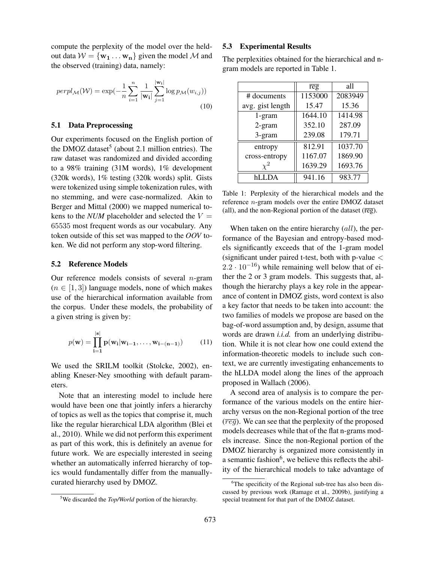compute the perplexity of the model over the heldout data  $W = {\bf w_1 \dots w_n}$  given the model M and the observed (training) data, namely:

$$
perpl_{\mathcal{M}}(\mathcal{W}) = \exp(-\frac{1}{n}\sum_{i=1}^{n}\frac{1}{|\mathbf{w_i}|}\sum_{j=1}^{|\mathbf{w_i}|}\log p_{\mathcal{M}}(w_{i,j}))
$$
\n(10)

#### 5.1 Data Preprocessing

Our experiments focused on the English portion of the DMOZ dataset<sup>5</sup> (about 2.1 million entries). The raw dataset was randomized and divided according to a 98% training (31M words), 1% development (320k words), 1% testing (320k words) split. Gists were tokenized using simple tokenization rules, with no stemming, and were case-normalized. Akin to Berger and Mittal (2000) we mapped numerical tokens to the *NUM* placeholder and selected the  $V =$ 65535 most frequent words as our vocabulary. Any token outside of this set was mapped to the *OOV* token. We did not perform any stop-word filtering.

#### 5.2 Reference Models

Our reference models consists of several  $n$ -gram  $(n \in [1, 3])$  language models, none of which makes use of the hierarchical information available from the corpus. Under these models, the probability of a given string is given by:

$$
p(\mathbf{w}) = \prod_{i=1}^{|\mathbf{s}|} \mathbf{p}(\mathbf{w}_i | \mathbf{w}_{i-1}, \dots, \mathbf{w}_{i-(n-1)})
$$
(11)

We used the SRILM toolkit (Stolcke, 2002), enabling Kneser-Ney smoothing with default parameters.

Note that an interesting model to include here would have been one that jointly infers a hierarchy of topics as well as the topics that comprise it, much like the regular hierarchical LDA algorithm (Blei et al., 2010). While we did not perform this experiment as part of this work, this is definitely an avenue for future work. We are especially interested in seeing whether an automatically inferred hierarchy of topics would fundamentally differ from the manuallycurated hierarchy used by DMOZ.

#### 5.3 Experimental Results

The perplexities obtained for the hierarchical and ngram models are reported in Table 1.

|                  | $\overline{\text{reg}}$ | all     |
|------------------|-------------------------|---------|
| # documents      | 1153000                 | 2083949 |
| avg. gist length | 15.47                   | 15.36   |
| 1-gram           | 1644.10                 | 1414.98 |
| $2$ -gram        | 352.10                  | 287.09  |
| 3-gram           | 239.08                  | 179.71  |
| entropy          | 812.91                  | 1037.70 |
| cross-entropy    | 1167.07                 | 1869.90 |
|                  | 1639.29                 | 1693.76 |
| hI I DA          | 941.16                  | 983.77  |

Table 1: Perplexity of the hierarchical models and the reference n-gram models over the entire DMOZ dataset (all), and the non-Regional portion of the dataset  $(\overline{reg})$ .

When taken on the entire hierarchy  $\left(\frac{all}{} \right)$ , the performance of the Bayesian and entropy-based models significantly exceeds that of the 1-gram model (significant under paired t-test, both with p-value  $\lt$  $2.2 \cdot 10^{-16}$ ) while remaining well below that of either the 2 or 3 gram models. This suggests that, although the hierarchy plays a key role in the appearance of content in DMOZ gists, word context is also a key factor that needs to be taken into account: the two families of models we propose are based on the bag-of-word assumption and, by design, assume that words are drawn *i.i.d.* from an underlying distribution. While it is not clear how one could extend the information-theoretic models to include such context, we are currently investigating enhancements to the hLLDA model along the lines of the approach proposed in Wallach (2006).

A second area of analysis is to compare the performance of the various models on the entire hierarchy versus on the non-Regional portion of the tree  $(\overline{reg})$ . We can see that the perplexity of the proposed models decreases while that of the flat n-grams models increase. Since the non-Regional portion of the DMOZ hierarchy is organized more consistently in a semantic fashion<sup>6</sup>, we believe this reflects the ability of the hierarchical models to take advantage of

<sup>5</sup>We discarded the *Top/World* portion of the hierarchy.

 ${}^{6}$ The specificity of the Regional sub-tree has also been discussed by previous work (Ramage et al., 2009b), justifying a special treatment for that part of the DMOZ dataset.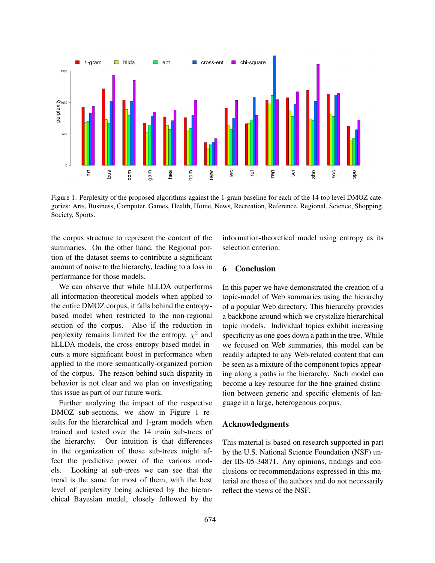

Figure 1: Perplexity of the proposed algorithms against the 1-gram baseline for each of the 14 top level DMOZ categories: Arts, Business, Computer, Games, Health, Home, News, Recreation, Reference, Regional, Science, Shopping, Society, Sports.

the corpus structure to represent the content of the summaries. On the other hand, the Regional portion of the dataset seems to contribute a significant amount of noise to the hierarchy, leading to a loss in performance for those models.

We can observe that while hLLDA outperforms all information-theoretical models when applied to the entire DMOZ corpus, it falls behind the entropybased model when restricted to the non-regional section of the corpus. Also if the reduction in perplexity remains limited for the entropy,  $\chi^2$  and hLLDA models, the cross-entropy based model incurs a more significant boost in performance when applied to the more semantically-organized portion of the corpus. The reason behind such disparity in behavior is not clear and we plan on investigating this issue as part of our future work.

Further analyzing the impact of the respective DMOZ sub-sections, we show in Figure 1 results for the hierarchical and 1-gram models when trained and tested over the 14 main sub-trees of the hierarchy. Our intuition is that differences in the organization of those sub-trees might affect the predictive power of the various models. Looking at sub-trees we can see that the trend is the same for most of them, with the best level of perplexity being achieved by the hierarchical Bayesian model, closely followed by the information-theoretical model using entropy as its selection criterion.

## 6 Conclusion

In this paper we have demonstrated the creation of a topic-model of Web summaries using the hierarchy of a popular Web directory. This hierarchy provides a backbone around which we crystalize hierarchical topic models. Individual topics exhibit increasing specificity as one goes down a path in the tree. While we focused on Web summaries, this model can be readily adapted to any Web-related content that can be seen as a mixture of the component topics appearing along a paths in the hierarchy. Such model can become a key resource for the fine-grained distinction between generic and specific elements of language in a large, heterogenous corpus.

### Acknowledgments

This material is based on research supported in part by the U.S. National Science Foundation (NSF) under IIS-05-34871. Any opinions, findings and conclusions or recommendations expressed in this material are those of the authors and do not necessarily reflect the views of the NSF.